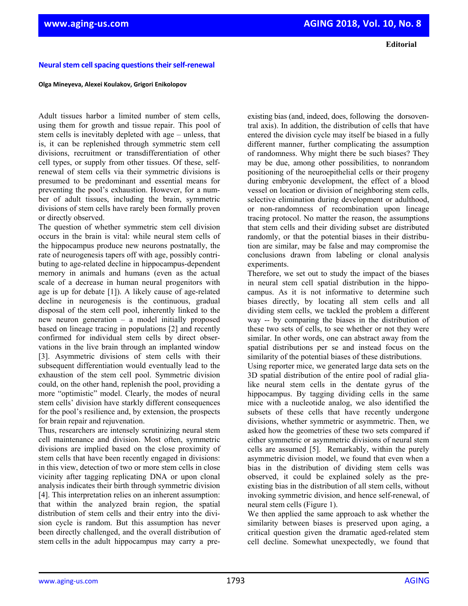**Editorial**

## **Neural stem cell spacing questions their self-renewal**

## **Olga Mineyeva, Alexei Koulakov, Grigori Enikolopov**

Adult tissues harbor a limited number of stem cells, using them for growth and tissue repair. This pool of stem cells is inevitably depleted with age – unless, that is, it can be replenished through symmetric stem cell divisions, recruitment or transdifferentiation of other cell types, or supply from other tissues. Of these, selfrenewal of stem cells via their symmetric divisions is presumed to be predominant and essential means for preventing the pool's exhaustion. However, for a number of adult tissues, including the brain, symmetric divisions of stem cells have rarely been formally proven or directly observed.

The question of whether symmetric stem cell division occurs in the brain is vital: while neural stem cells of the hippocampus produce new neurons postnatally, the rate of neurogenesis tapers off with age, possibly contributing to age-related decline in hippocampus-dependent memory in animals and humans (even as the actual scale of a decrease in human neural progenitors with age is up for debate [1]). A likely cause of age-related decline in neurogenesis is the continuous, gradual disposal of the stem cell pool, inherently linked to the new neuron generation – a model initially proposed based on lineage tracing in populations [2] and recently confirmed for individual stem cells by direct observations in the live brain through an implanted window [3]. Asymmetric divisions of stem cells with their subsequent differentiation would eventually lead to the exhaustion of the stem cell pool. Symmetric division could, on the other hand, replenish the pool, providing a more "optimistic" model. Clearly, the modes of neural stem cells' division have starkly different consequences for the pool's resilience and, by extension, the prospects for brain repair and rejuvenation.

Thus, researchers are intensely scrutinizing neural stem cell maintenance and division. Most often, symmetric divisions are implied based on the close proximity of stem cells that have been recently engaged in divisions: in this view, detection of two or more stem cells in close vicinity after tagging replicating DNA or upon clonal analysis indicates their birth through symmetric division [4]. This interpretation relies on an inherent assumption: that within the analyzed brain region, the spatial distribution of stem cells and their entry into the division cycle is random. But this assumption has never been directly challenged, and the overall distribution of stem cells in the adult hippocampus may carry a pre-

existing bias (and, indeed, does, following the dorsoventral axis). In addition, the distribution of cells that have entered the division cycle may itself be biased in a fully different manner, further complicating the assumption of randomness. Why might there be such biases? They may be due, among other possibilities, to nonrandom positioning of the neuroepithelial cells or their progeny during embryonic development, the effect of a blood vessel on location or division of neighboring stem cells, selective elimination during development or adulthood, or non-randomness of recombination upon lineage tracing protocol. No matter the reason, the assumptions that stem cells and their dividing subset are distributed randomly, or that the potential biases in their distribution are similar, may be false and may compromise the conclusions drawn from labeling or clonal analysis experiments.

Therefore, we set out to study the impact of the biases in neural stem cell spatial distribution in the hippocampus. As it is not informative to determine such biases directly, by locating all stem cells and all dividing stem cells, we tackled the problem a different way -- by comparing the biases in the distribution of these two sets of cells, to see whether or not they were similar. In other words, one can abstract away from the spatial distributions per se and instead focus on the similarity of the potential biases of these distributions.

Using reporter mice, we generated large data sets on the 3D spatial distribution of the entire pool of radial glialike neural stem cells in the dentate gyrus of the hippocampus. By tagging dividing cells in the same mice with a nucleotide analog, we also identified the subsets of these cells that have recently undergone divisions, whether symmetric or asymmetric. Then, we asked how the geometries of these two sets compared if either symmetric or asymmetric divisions of neural stem cells are assumed [5]. Remarkably, within the purely asymmetric division model, we found that even when a bias in the distribution of dividing stem cells was observed, it could be explained solely as the preexisting bias in the distribution of all stem cells, without invoking symmetric division, and hence self-renewal, of neural stem cells (Figure 1).

We then applied the same approach to ask whether the similarity between biases is preserved upon aging, a critical question given the dramatic aged-related stem cell decline. Somewhat unexpectedly, we found that